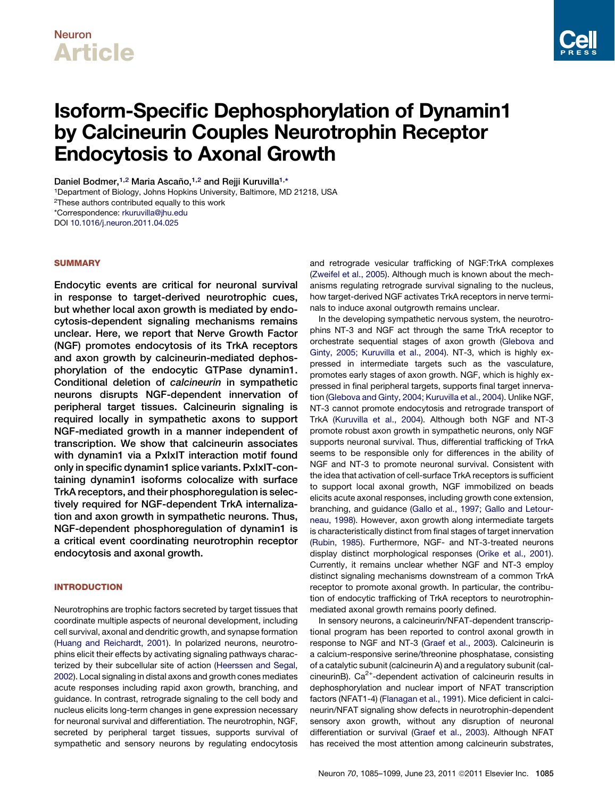# Neuron Article



# Isoform-Specific Dephosphorylation of Dynamin1 by Calcineurin Couples Neurotrophin Receptor Endocytosis to Axonal Growth

Daniel Bodmer,<sup>1,2</sup> Maria Ascaño,<sup>1,2</sup> and Rejji Kuruvilla<sup>1,\*</sup>

1Department of Biology, Johns Hopkins University, Baltimore, MD 21218, USA

2These authors contributed equally to this work \*Correspondence: rkuruvilla@jhu.edu

DOI 10.1016/j.neuron.2011.04.025

## **SUMMARY**

Endocytic events are critical for neuronal survival in response to target-derived neurotrophic cues, but whether local axon growth is mediated by endocytosis-dependent signaling mechanisms remains unclear. Here, we report that Nerve Growth Factor (NGF) promotes endocytosis of its TrkA receptors and axon growth by calcineurin-mediated dephosphorylation of the endocytic GTPase dynamin1. Conditional deletion of calcineurin in sympathetic neurons disrupts NGF-dependent innervation of peripheral target tissues. Calcineurin signaling is required locally in sympathetic axons to support NGF-mediated growth in a manner independent of transcription. We show that calcineurin associates with dynamin1 via a PxIxIT interaction motif found only in specific dynamin1 splice variants. PxIxIT-containing dynamin1 isoforms colocalize with surface TrkA receptors, and their phosphoregulation is selectively required for NGF-dependent TrkA internalization and axon growth in sympathetic neurons. Thus, NGF-dependent phosphoregulation of dynamin1 is a critical event coordinating neurotrophin receptor endocytosis and axonal growth.

# INTRODUCTION

Neurotrophins are trophic factors secreted by target tissues that coordinate multiple aspects of neuronal development, including cell survival, axonal and dendritic growth, and synapse formation [\(Huang and Reichardt, 2001](#page-13-0)). In polarized neurons, neurotrophins elicit their effects by activating signaling pathways characterized by their subcellular site of action [\(Heerssen and Segal,](#page-13-0) [2002\)](#page-13-0). Local signaling in distal axons and growth cones mediates acute responses including rapid axon growth, branching, and guidance. In contrast, retrograde signaling to the cell body and nucleus elicits long-term changes in gene expression necessary for neuronal survival and differentiation. The neurotrophin, NGF, secreted by peripheral target tissues, supports survival of sympathetic and sensory neurons by regulating endocytosis and retrograde vesicular trafficking of NGF:TrkA complexes [\(Zweifel et al., 2005\)](#page-14-0). Although much is known about the mechanisms regulating retrograde survival signaling to the nucleus, how target-derived NGF activates TrkA receptors in nerve terminals to induce axonal outgrowth remains unclear.

In the developing sympathetic nervous system, the neurotrophins NT-3 and NGF act through the same TrkA receptor to orchestrate sequential stages of axon growth ([Glebova and](#page-13-0) [Ginty, 2005; Kuruvilla et al., 2004\)](#page-13-0). NT-3, which is highly expressed in intermediate targets such as the vasculature, promotes early stages of axon growth. NGF, which is highly expressed in final peripheral targets, supports final target innervation [\(Glebova and Ginty, 2004; Kuruvilla et al., 2004](#page-13-0)). Unlike NGF, NT-3 cannot promote endocytosis and retrograde transport of TrkA ([Kuruvilla et al., 2004\)](#page-13-0). Although both NGF and NT-3 promote robust axon growth in sympathetic neurons, only NGF supports neuronal survival. Thus, differential trafficking of TrkA seems to be responsible only for differences in the ability of NGF and NT-3 to promote neuronal survival. Consistent with the idea that activation of cell-surface TrkA receptors is sufficient to support local axonal growth, NGF immobilized on beads elicits acute axonal responses, including growth cone extension, branching, and guidance ([Gallo et al., 1997; Gallo and Letour](#page-13-0)[neau, 1998\)](#page-13-0). However, axon growth along intermediate targets is characteristically distinct from final stages of target innervation [\(Rubin, 1985\)](#page-14-0). Furthermore, NGF- and NT-3-treated neurons display distinct morphological responses ([Orike et al., 2001\)](#page-14-0). Currently, it remains unclear whether NGF and NT-3 employ distinct signaling mechanisms downstream of a common TrkA receptor to promote axonal growth. In particular, the contribution of endocytic trafficking of TrkA receptors to neurotrophinmediated axonal growth remains poorly defined.

In sensory neurons, a calcineurin/NFAT-dependent transcriptional program has been reported to control axonal growth in response to NGF and NT-3 ([Graef et al., 2003\)](#page-13-0). Calcineurin is a calcium-responsive serine/threonine phosphatase, consisting of a catalytic subunit (calcineurin A) and a regulatory subunit (calcineurinB).  $Ca<sup>2+</sup>$ -dependent activation of calcineurin results in dephosphorylation and nuclear import of NFAT transcription factors (NFAT1-4) ([Flanagan et al., 1991\)](#page-13-0). Mice deficient in calcineurin/NFAT signaling show defects in neurotrophin-dependent sensory axon growth, without any disruption of neuronal differentiation or survival ([Graef et al., 2003\)](#page-13-0). Although NFAT has received the most attention among calcineurin substrates,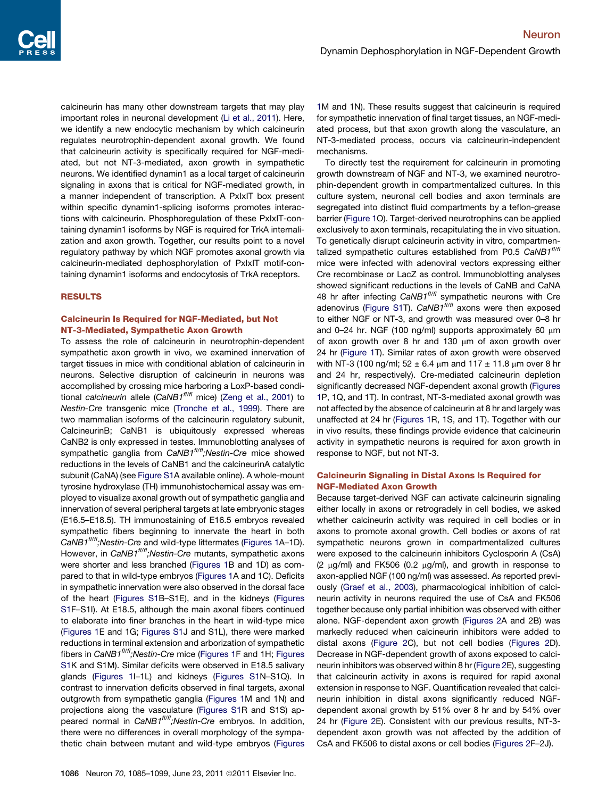calcineurin has many other downstream targets that may play important roles in neuronal development [\(Li et al., 2011](#page-13-0)). Here, we identify a new endocytic mechanism by which calcineurin regulates neurotrophin-dependent axonal growth. We found that calcineurin activity is specifically required for NGF-mediated, but not NT-3-mediated, axon growth in sympathetic neurons. We identified dynamin1 as a local target of calcineurin signaling in axons that is critical for NGF-mediated growth, in a manner independent of transcription. A PxIxIT box present within specific dynamin1-splicing isoforms promotes interactions with calcineurin. Phosphoregulation of these PxIxIT-containing dynamin1 isoforms by NGF is required for TrkA internalization and axon growth. Together, our results point to a novel regulatory pathway by which NGF promotes axonal growth via calcineurin-mediated dephosphorylation of PxIxIT motif-containing dynamin1 isoforms and endocytosis of TrkA receptors.

## RESULTS

## Calcineurin Is Required for NGF-Mediated, but Not NT-3-Mediated, Sympathetic Axon Growth

To assess the role of calcineurin in neurotrophin-dependent sympathetic axon growth in vivo, we examined innervation of target tissues in mice with conditional ablation of calcineurin in neurons. Selective disruption of calcineurin in neurons was accomplished by crossing mice harboring a LoxP-based conditional *calcineurin* allele (*CaNB1fl/fl* mice) ([Zeng et al., 2001\)](#page-14-0) to *Nestin-Cre* transgenic mice [\(Tronche et al., 1999\)](#page-14-0). There are two mammalian isoforms of the calcineurin regulatory subunit, CalcineurinB; CaNB1 is ubiquitously expressed whereas CaNB2 is only expressed in testes. Immunoblotting analyses of sympathetic ganglia from *CaNB1fl/fl;Nestin-Cre* mice showed reductions in the levels of CaNB1 and the calcineurinA catalytic subunit (CaNA) (see [Figure S1A](#page-13-0) available online). A whole-mount tyrosine hydroxylase (TH) immunohistochemical assay was employed to visualize axonal growth out of sympathetic ganglia and innervation of several peripheral targets at late embryonic stages (E16.5–E18.5). TH immunostaining of E16.5 embryos revealed sympathetic fibers beginning to innervate the heart in both *CaNB1fl/fl;Nestin-Cre* and wild-type littermates [\(Figures 1A](#page-2-0)–1D). However, in *CaNB1fl/fl;Nestin-Cre* mutants, sympathetic axons were shorter and less branched [\(Figures 1](#page-2-0)B and 1D) as compared to that in wild-type embryos ([Figures 1A](#page-2-0) and 1C). Deficits in sympathetic innervation were also observed in the dorsal face of the heart [\(Figures S1B](#page-13-0)–S1E), and in the kidneys ([Figures](#page-13-0) [S1F](#page-13-0)–S1I). At E18.5, although the main axonal fibers continued to elaborate into finer branches in the heart in wild-type mice ([Figures 1](#page-2-0)E and 1G; [Figures S1J](#page-13-0) and S1L), there were marked reductions in terminal extension and arborization of sympathetic fibers in *CaNB1fl/fl;Nestin-Cre* mice [\(Figures 1](#page-2-0)F and 1H; [Figures](#page-13-0) [S1K](#page-13-0) and S1M). Similar deficits were observed in E18.5 salivary glands ([Figures 1I](#page-2-0)–1L) and kidneys [\(Figures S1N](#page-13-0)–S1Q). In contrast to innervation deficits observed in final targets, axonal outgrowth from sympathetic ganglia [\(Figures 1](#page-2-0)M and 1N) and projections along the vasculature [\(Figures S1R](#page-13-0) and S1S) appeared normal in *CaNB1fl/fl;Nestin-Cre* embryos. In addition, there were no differences in overall morphology of the sympathetic chain between mutant and wild-type embryos ([Figures](#page-2-0)

[1](#page-2-0)M and 1N). These results suggest that calcineurin is required for sympathetic innervation of final target tissues, an NGF-mediated process, but that axon growth along the vasculature, an NT-3-mediated process, occurs via calcineurin-independent mechanisms.

To directly test the requirement for calcineurin in promoting growth downstream of NGF and NT-3, we examined neurotrophin-dependent growth in compartmentalized cultures. In this culture system, neuronal cell bodies and axon terminals are segregated into distinct fluid compartments by a teflon-grease barrier [\(Figure 1O](#page-2-0)). Target-derived neurotrophins can be applied exclusively to axon terminals, recapitulating the in vivo situation. To genetically disrupt calcineurin activity in vitro, compartmentalized sympathetic cultures established from P0.5 *CaNB1fl/fl* mice were infected with adenoviral vectors expressing either Cre recombinase or LacZ as control. Immunoblotting analyses showed significant reductions in the levels of CaNB and CaNA 48 hr after infecting *CaNB1fl/fl* sympathetic neurons with Cre adenovirus [\(Figure S1T](#page-13-0)). *CaNB1fl/fl* axons were then exposed to either NGF or NT-3, and growth was measured over 0–8 hr and 0-24 hr. NGF (100 ng/ml) supports approximately 60  $\mu$ m of axon growth over 8 hr and 130  $\mu$ m of axon growth over 24 hr [\(Figure 1T](#page-2-0)). Similar rates of axon growth were observed with NT-3 (100 ng/ml;  $52 \pm 6.4$  µm and  $117 \pm 11.8$  µm over 8 hr and 24 hr, respectively). Cre-mediated calcineurin depletion significantly decreased NGF-dependent axonal growth [\(Figures](#page-2-0) [1](#page-2-0)P, 1Q, and 1T). In contrast, NT-3-mediated axonal growth was not affected by the absence of calcineurin at 8 hr and largely was unaffected at 24 hr ([Figures 1](#page-2-0)R, 1S, and 1T). Together with our in vivo results, these findings provide evidence that calcineurin activity in sympathetic neurons is required for axon growth in response to NGF, but not NT-3.

## Calcineurin Signaling in Distal Axons Is Required for NGF-Mediated Axon Growth

Because target-derived NGF can activate calcineurin signaling either locally in axons or retrogradely in cell bodies, we asked whether calcineurin activity was required in cell bodies or in axons to promote axonal growth. Cell bodies or axons of rat sympathetic neurons grown in compartmentalized cultures were exposed to the calcineurin inhibitors Cyclosporin A (CsA)  $(2 \mu g/ml)$  and FK506 (0.2  $\mu g/ml$ ), and growth in response to axon-applied NGF (100 ng/ml) was assessed. As reported previously ([Graef et al., 2003\)](#page-13-0), pharmacological inhibition of calcineurin activity in neurons required the use of CsA and FK506 together because only partial inhibition was observed with either alone. NGF-dependent axon growth ([Figures 2A](#page-3-0) and 2B) was markedly reduced when calcineurin inhibitors were added to distal axons [\(Figure 2C](#page-3-0)), but not cell bodies ([Figures 2](#page-3-0)D). Decrease in NGF-dependent growth of axons exposed to calcineurin inhibitors was observed within 8 hr [\(Figure 2](#page-3-0)E), suggesting that calcineurin activity in axons is required for rapid axonal extension in response to NGF. Quantification revealed that calcineurin inhibition in distal axons significantly reduced NGFdependent axonal growth by 51% over 8 hr and by 54% over 24 hr ([Figure 2E](#page-3-0)). Consistent with our previous results, NT-3 dependent axon growth was not affected by the addition of CsA and FK506 to distal axons or cell bodies ([Figures 2](#page-3-0)F–2J).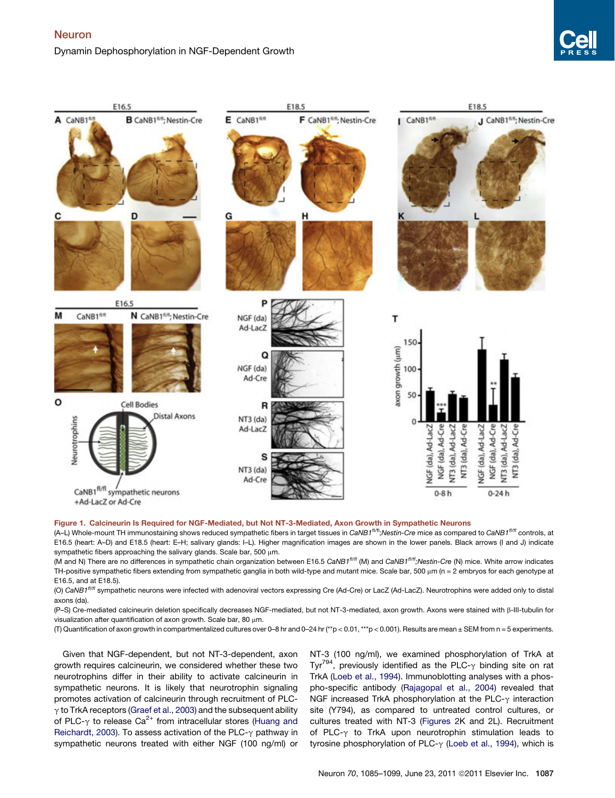<span id="page-2-0"></span>

#### Figure 1. Calcineurin Is Required for NGF-Mediated, but Not NT-3-Mediated, Axon Growth in Sympathetic Neurons

(A–L) Whole-mount TH immunostaining shows reduced sympathetic fibers in target tissues in *CaNB1*fl/fl;*Nestin-Cre* mice as compared to *CaNB1fl/fl* controls, at E16.5 (heart: A–D) and E18.5 (heart: E–H; salivary glands: I–L). Higher magnification images are shown in the lower panels. Black arrows (I and J) indicate sympathetic fibers approaching the salivary glands. Scale bar, 500 µm.

(M and N) There are no differences in sympathetic chain organization between E16.5 *CaNB1fl/fl* (M) and *CaNB1fl/fl;Nestin-Cre* (N) mice. White arrow indicates TH-positive sympathetic fibers extending from sympathetic ganglia in both wild-type and mutant mice. Scale bar, 500  $\mu$ m (n = 2 embryos for each genotype at E16.5, and at E18.5).

(O) *CaNB1fl/fl* sympathetic neurons were infected with adenoviral vectors expressing Cre (Ad-Cre) or LacZ (Ad-LacZ). Neurotrophins were added only to distal axons (da).

(P–S) Cre-mediated calcineurin deletion specifically decreases NGF-mediated, but not NT-3-mediated, axon growth. Axons were stained with b-III-tubulin for visualization after quantification of axon growth. Scale bar, 80 µm.

(T) Quantification of axon growth in compartmentalized cultures over 0–8 hr and 0–24 hr (\*\*p < 0.01, \*\*\*p < 0.001). Results are mean ± SEM from n = 5 experiments.

Given that NGF-dependent, but not NT-3-dependent, axon growth requires calcineurin, we considered whether these two neurotrophins differ in their ability to activate calcineurin in sympathetic neurons. It is likely that neurotrophin signaling promotes activation of calcineurin through recruitment of PLC- $\gamma$  to TrkA receptors ([Graef et al., 2003\)](#page-13-0) and the subsequent ability of PLC- $\gamma$  to release Ca<sup>2+</sup> from intracellular stores ([Huang and](#page-13-0) [Reichardt, 2003](#page-13-0)). To assess activation of the PLC- $\gamma$  pathway in sympathetic neurons treated with either NGF (100 ng/ml) or

NT-3 (100 ng/ml), we examined phosphorylation of TrkA at Tyr<sup>794</sup>, previously identified as the PLC- $\gamma$  binding site on rat TrkA ([Loeb et al., 1994\)](#page-14-0). Immunoblotting analyses with a phospho-specific antibody ([Rajagopal et al., 2004\)](#page-14-0) revealed that NGF increased TrkA phosphorylation at the PLC- $\gamma$  interaction site (Y794), as compared to untreated control cultures, or cultures treated with NT-3 [\(Figures 2K](#page-3-0) and 2L). Recruitment of PLC- $\gamma$  to TrkA upon neurotrophin stimulation leads to tyrosine phosphorylation of PLC- $\gamma$  [\(Loeb et al., 1994\)](#page-14-0), which is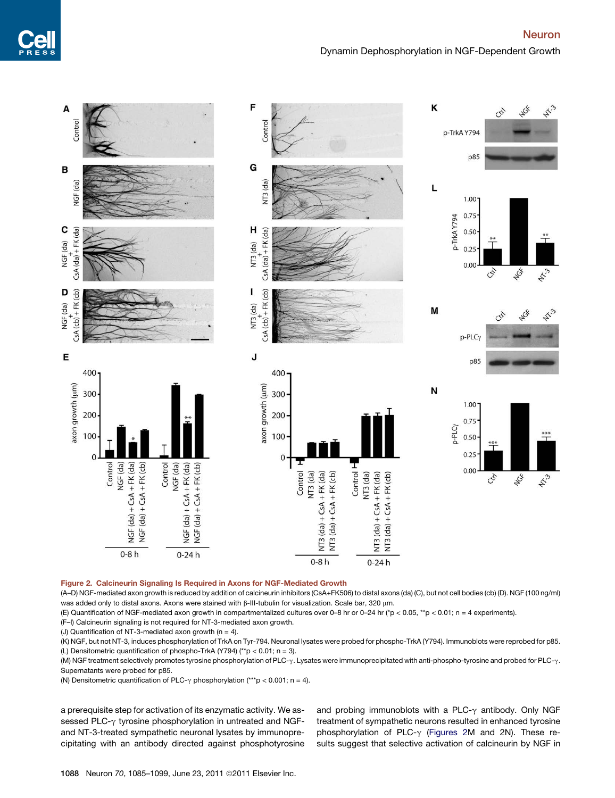<span id="page-3-0"></span>

## Figure 2. Calcineurin Signaling Is Required in Axons for NGF-Mediated Growth

(A–D) NGF-mediated axon growth is reduced by addition of calcineurin inhibitors (CsA+FK506) to distal axons (da) (C), but not cell bodies (cb) (D). NGF (100 ng/ml) was added only to distal axons. Axons were stained with  $\beta$ -III-tubulin for visualization. Scale bar, 320 µm.

(E) Quantification of NGF-mediated axon growth in compartmentalized cultures over 0–8 hr or 0–24 hr (\*p < 0.05, \*\*p < 0.01; n = 4 experiments).

(F–I) Calcineurin signaling is not required for NT-3-mediated axon growth.

(J) Quantification of NT-3-mediated axon growth ( $n = 4$ ).

(K) NGF, but not NT-3, induces phosphorylation of TrkA on Tyr-794. Neuronal lysates were probed for phospho-TrkA (Y794). Immunoblots were reprobed for p85. (L) Densitometric quantification of phospho-TrkA (Y794) (\*\*p < 0.01;  $n = 3$ ).

(M) NGF treatment selectively promotes tyrosine phosphorylation of PLC- $\gamma$ . Lysates were immunoprecipitated with anti-phospho-tyrosine and probed for PLC- $\gamma$ . Supernatants were probed for p85.

(N) Densitometric quantification of PLC- $\gamma$  phosphorylation (\*\*\*p < 0.001; n = 4).

a prerequisite step for activation of its enzymatic activity. We assessed PLC- $\gamma$  tyrosine phosphorylation in untreated and NGFand NT-3-treated sympathetic neuronal lysates by immunoprecipitating with an antibody directed against phosphotyrosine

and probing immunoblots with a PLC- $\gamma$  antibody. Only NGF treatment of sympathetic neurons resulted in enhanced tyrosine phosphorylation of PLC- $\gamma$  (Figures 2M and 2N). These results suggest that selective activation of calcineurin by NGF in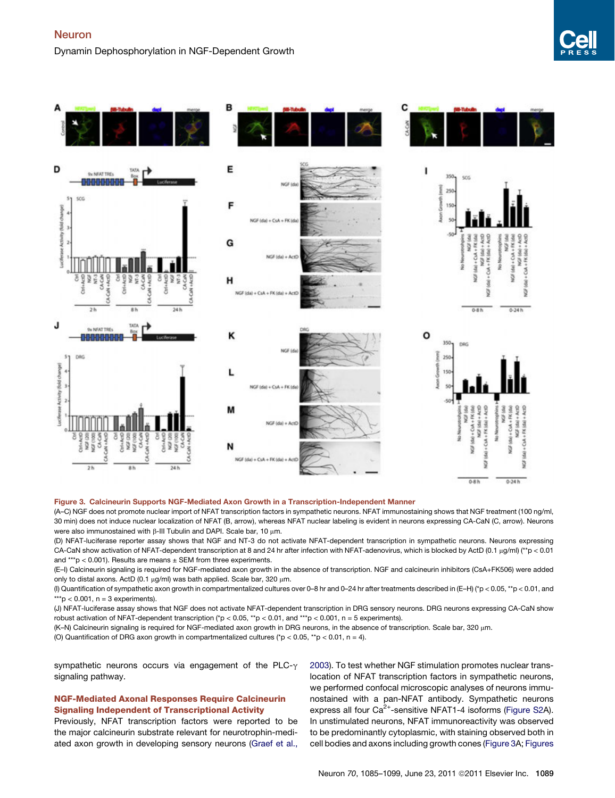<span id="page-4-0"></span>

## Figure 3. Calcineurin Supports NGF-Mediated Axon Growth in a Transcription-Independent Manner

(A–C) NGF does not promote nuclear import of NFAT transcription factors in sympathetic neurons. NFAT immunostaining shows that NGF treatment (100 ng/ml, 30 min) does not induce nuclear localization of NFAT (B, arrow), whereas NFAT nuclear labeling is evident in neurons expressing CA-CaN (C, arrow). Neurons were also immunostained with  $\beta$ -III Tubulin and DAPI. Scale bar, 10 µm.

(D) NFAT-luciferase reporter assay shows that NGF and NT-3 do not activate NFAT-dependent transcription in sympathetic neurons. Neurons expressing CA-CaN show activation of NFAT-dependent transcription at 8 and 24 hr after infection with NFAT-adenovirus, which is blocked by ActD (0.1 µg/ml) (\*\*p < 0.01 and \*\*\*p  $<$  0.001). Results are means  $\pm$  SEM from three experiments.

(E–I) Calcineurin signaling is required for NGF-mediated axon growth in the absence of transcription. NGF and calcineurin inhibitors (CsA+FK506) were added only to distal axons. ActD (0.1 µg/ml) was bath applied. Scale bar, 320 µm.

(I) Quantification of sympathetic axon growth in compartmentalized cultures over 0–8 hr and 0–24 hr after treatments described in (E–H) (\*p < 0.05, \*\*p < 0.01, and \*\*\*p  $< 0.001$ ,  $n = 3$  experiments).

(J) NFAT-luciferase assay shows that NGF does not activate NFAT-dependent transcription in DRG sensory neurons. DRG neurons expressing CA-CaN show robust activation of NFAT-dependent transcription (\*p < 0.05, \*\*p < 0.01, and \*\*\*p < 0.001, n = 5 experiments).

(K-N) Calcineurin signaling is required for NGF-mediated axon growth in DRG neurons, in the absence of transcription. Scale bar, 320 µm.

(O) Quantification of DRG axon growth in compartmentalized cultures ( $p < 0.05$ ,  $p < 0.01$ , n = 4).

sympathetic neurons occurs via engagement of the PLC- $\gamma$ signaling pathway.

# NGF-Mediated Axonal Responses Require Calcineurin Signaling Independent of Transcriptional Activity

Previously, NFAT transcription factors were reported to be the major calcineurin substrate relevant for neurotrophin-mediated axon growth in developing sensory neurons ([Graef et al.,](#page-13-0) [2003\)](#page-13-0). To test whether NGF stimulation promotes nuclear translocation of NFAT transcription factors in sympathetic neurons, we performed confocal microscopic analyses of neurons immunostained with a pan-NFAT antibody. Sympathetic neurons express all four  $Ca^{2+}$ -sensitive NFAT1-4 isoforms ([Figure S2](#page-13-0)A). In unstimulated neurons, NFAT immunoreactivity was observed to be predominantly cytoplasmic, with staining observed both in cell bodies and axons including growth cones (Figure 3A; [Figures](#page-13-0)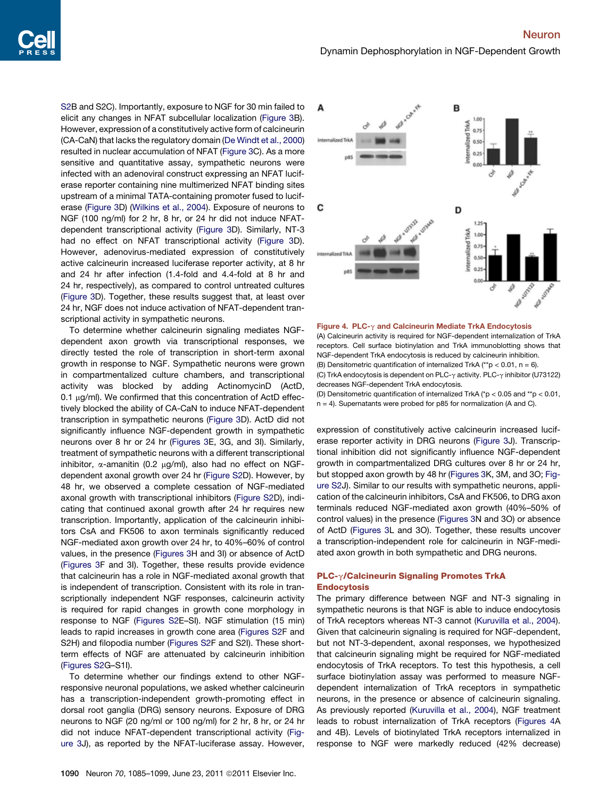<span id="page-5-0"></span>[S2B](#page-13-0) and S2C). Importantly, exposure to NGF for 30 min failed to elicit any changes in NFAT subcellular localization [\(Figure 3](#page-4-0)B). However, expression of a constitutively active form of calcineurin (CA-CaN) that lacks the regulatory domain [\(De Windt et al., 2000\)](#page-13-0) resulted in nuclear accumulation of NFAT [\(Figure 3](#page-4-0)C). As a more sensitive and quantitative assay, sympathetic neurons were infected with an adenoviral construct expressing an NFAT luciferase reporter containing nine multimerized NFAT binding sites upstream of a minimal TATA-containing promoter fused to luciferase ([Figure 3D](#page-4-0)) ([Wilkins et al., 2004](#page-14-0)). Exposure of neurons to NGF (100 ng/ml) for 2 hr, 8 hr, or 24 hr did not induce NFATdependent transcriptional activity [\(Figure 3](#page-4-0)D). Similarly, NT-3 had no effect on NFAT transcriptional activity ([Figure 3](#page-4-0)D). However, adenovirus-mediated expression of constitutively active calcineurin increased luciferase reporter activity, at 8 hr and 24 hr after infection (1.4-fold and 4.4-fold at 8 hr and 24 hr, respectively), as compared to control untreated cultures ([Figure 3](#page-4-0)D). Together, these results suggest that, at least over 24 hr, NGF does not induce activation of NFAT-dependent transcriptional activity in sympathetic neurons.

To determine whether calcineurin signaling mediates NGFdependent axon growth via transcriptional responses, we directly tested the role of transcription in short-term axonal growth in response to NGF. Sympathetic neurons were grown in compartmentalized culture chambers, and transcriptional activity was blocked by adding ActinomycinD (ActD,  $0.1 \mu g/ml$ . We confirmed that this concentration of ActD effectively blocked the ability of CA-CaN to induce NFAT-dependent transcription in sympathetic neurons ([Figure 3](#page-4-0)D). ActD did not significantly influence NGF-dependent growth in sympathetic neurons over 8 hr or 24 hr ([Figures 3E](#page-4-0), 3G, and 3I). Similarly, treatment of sympathetic neurons with a different transcriptional inhibitor,  $\alpha$ -amanitin (0.2 µg/ml), also had no effect on NGFdependent axonal growth over 24 hr ([Figure S2](#page-13-0)D). However, by 48 hr, we observed a complete cessation of NGF-mediated axonal growth with transcriptional inhibitors ([Figure S2D](#page-13-0)), indicating that continued axonal growth after 24 hr requires new transcription. Importantly, application of the calcineurin inhibitors CsA and FK506 to axon terminals significantly reduced NGF-mediated axon growth over 24 hr, to 40%–60% of control values, in the presence ([Figures 3H](#page-4-0) and 3I) or absence of ActD ([Figures 3](#page-4-0)F and 3I). Together, these results provide evidence that calcineurin has a role in NGF-mediated axonal growth that is independent of transcription. Consistent with its role in transcriptionally independent NGF responses, calcineurin activity is required for rapid changes in growth cone morphology in response to NGF ([Figures S2E](#page-13-0)–SI). NGF stimulation (15 min) leads to rapid increases in growth cone area ([Figures S2F](#page-13-0) and S2H) and filopodia number [\(Figures S2](#page-13-0)F and S2I). These shortterm effects of NGF are attenuated by calcineurin inhibition ([Figures S2](#page-13-0)G–S1I).

To determine whether our findings extend to other NGFresponsive neuronal populations, we asked whether calcineurin has a transcription-independent growth-promoting effect in dorsal root ganglia (DRG) sensory neurons. Exposure of DRG neurons to NGF (20 ng/ml or 100 ng/ml) for 2 hr, 8 hr, or 24 hr did not induce NFAT-dependent transcriptional activity [\(Fig](#page-4-0)[ure 3](#page-4-0)J), as reported by the NFAT-luciferase assay. However,



Figure 4. PLC- $\gamma$  and Calcineurin Mediate TrkA Endocytosis (A) Calcineurin activity is required for NGF-dependent internalization of TrkA receptors. Cell surface biotinylation and TrkA immunoblotting shows that NGF-dependent TrkA endocytosis is reduced by calcineurin inhibition. (B) Densitometric quantification of internalized TrkA (\*\*p <  $0.01$ , n =  $6$ ). (C) TrkA endocytosis is dependent on PLC- $\gamma$  activity. PLC- $\gamma$  inhibitor (U73122) decreases NGF-dependent TrkA endocytosis. (D) Densitometric quantification of internalized TrkA ( $p < 0.05$  and  $* p < 0.01$ ,

 $n = 4$ ). Supernatants were probed for p85 for normalization (A and C).

expression of constitutively active calcineurin increased luciferase reporter activity in DRG neurons ([Figure 3J](#page-4-0)). Transcriptional inhibition did not significantly influence NGF-dependent growth in compartmentalized DRG cultures over 8 hr or 24 hr, but stopped axon growth by 48 hr [\(Figures 3K](#page-4-0), 3M, and 3O; [Fig](#page-13-0)[ure S2](#page-13-0)J). Similar to our results with sympathetic neurons, application of the calcineurin inhibitors, CsA and FK506, to DRG axon terminals reduced NGF-mediated axon growth (40%–50% of control values) in the presence [\(Figures 3](#page-4-0)N and 3O) or absence of ActD ([Figures 3L](#page-4-0) and 3O). Together, these results uncover a transcription-independent role for calcineurin in NGF-mediated axon growth in both sympathetic and DRG neurons.

## PLC- $\gamma$ /Calcineurin Signaling Promotes TrkA **Endocytosis**

The primary difference between NGF and NT-3 signaling in sympathetic neurons is that NGF is able to induce endocytosis of TrkA receptors whereas NT-3 cannot ([Kuruvilla et al., 2004](#page-13-0)). Given that calcineurin signaling is required for NGF-dependent, but not NT-3-dependent, axonal responses, we hypothesized that calcineurin signaling might be required for NGF-mediated endocytosis of TrkA receptors. To test this hypothesis, a cell surface biotinylation assay was performed to measure NGFdependent internalization of TrkA receptors in sympathetic neurons, in the presence or absence of calcineurin signaling. As previously reported [\(Kuruvilla et al., 2004](#page-13-0)), NGF treatment leads to robust internalization of TrkA receptors (Figures 4A and 4B). Levels of biotinylated TrkA receptors internalized in response to NGF were markedly reduced (42% decrease)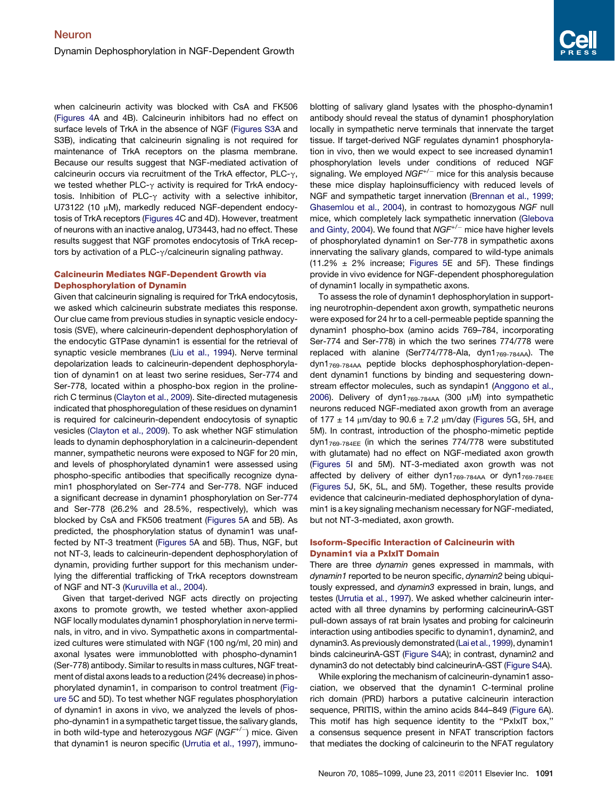when calcineurin activity was blocked with CsA and FK506 [\(Figures 4](#page-5-0)A and 4B). Calcineurin inhibitors had no effect on surface levels of TrkA in the absence of NGF [\(Figures S3A](#page-13-0) and S3B), indicating that calcineurin signaling is not required for maintenance of TrkA receptors on the plasma membrane. Because our results suggest that NGF-mediated activation of calcineurin occurs via recruitment of the TrkA effector,  $PLC-\gamma$ , we tested whether PLC- $\gamma$  activity is required for TrkA endocytosis. Inhibition of PLC- $\gamma$  activity with a selective inhibitor, U73122 (10 µM), markedly reduced NGF-dependent endocytosis of TrkA receptors ([Figures 4](#page-5-0)C and 4D). However, treatment of neurons with an inactive analog, U73443, had no effect. These results suggest that NGF promotes endocytosis of TrkA receptors by activation of a PLC- $\gamma$ /calcineurin signaling pathway.

# Calcineurin Mediates NGF-Dependent Growth via Dephosphorylation of Dynamin

Given that calcineurin signaling is required for TrkA endocytosis, we asked which calcineurin substrate mediates this response. Our clue came from previous studies in synaptic vesicle endocytosis (SVE), where calcineurin-dependent dephosphorylation of the endocytic GTPase dynamin1 is essential for the retrieval of synaptic vesicle membranes ([Liu et al., 1994\)](#page-13-0). Nerve terminal depolarization leads to calcineurin-dependent dephosphorylation of dynamin1 on at least two serine residues, Ser-774 and Ser-778, located within a phospho-box region in the prolinerich C terminus [\(Clayton et al., 2009](#page-13-0)). Site-directed mutagenesis indicated that phosphoregulation of these residues on dynamin1 is required for calcineurin-dependent endocytosis of synaptic vesicles [\(Clayton et al., 2009](#page-13-0)). To ask whether NGF stimulation leads to dynamin dephosphorylation in a calcineurin-dependent manner, sympathetic neurons were exposed to NGF for 20 min, and levels of phosphorylated dynamin1 were assessed using phospho-specific antibodies that specifically recognize dynamin1 phosphorylated on Ser-774 and Ser-778. NGF induced a significant decrease in dynamin1 phosphorylation on Ser-774 and Ser-778 (26.2% and 28.5%, respectively), which was blocked by CsA and FK506 treatment [\(Figures 5A](#page-7-0) and 5B). As predicted, the phosphorylation status of dynamin1 was unaffected by NT-3 treatment ([Figures 5](#page-7-0)A and 5B). Thus, NGF, but not NT-3, leads to calcineurin-dependent dephosphorylation of dynamin, providing further support for this mechanism underlying the differential trafficking of TrkA receptors downstream of NGF and NT-3 ([Kuruvilla et al., 2004](#page-13-0)).

Given that target-derived NGF acts directly on projecting axons to promote growth, we tested whether axon-applied NGF locally modulates dynamin1 phosphorylation in nerve terminals, in vitro, and in vivo. Sympathetic axons in compartmentalized cultures were stimulated with NGF (100 ng/ml, 20 min) and axonal lysates were immunoblotted with phospho-dynamin1 (Ser-778) antibody. Similar to results in mass cultures, NGF treatment of distal axons leads to a reduction (24% decrease) in phosphorylated dynamin1, in comparison to control treatment [\(Fig](#page-7-0)[ure 5C](#page-7-0) and 5D). To test whether NGF regulates phosphorylation of dynamin1 in axons in vivo, we analyzed the levels of phospho-dynamin1 in a sympathetic target tissue, the salivary glands, in both wild-type and heterozygous *NGF* (*NGF+/*) mice. Given that dynamin1 is neuron specific [\(Urrutia et al., 1997](#page-14-0)), immunoblotting of salivary gland lysates with the phospho-dynamin1 antibody should reveal the status of dynamin1 phosphorylation locally in sympathetic nerve terminals that innervate the target tissue. If target-derived NGF regulates dynamin1 phosphorylation in vivo, then we would expect to see increased dynamin1 phosphorylation levels under conditions of reduced NGF signaling. We employed NGF<sup>+/-</sup> mice for this analysis because these mice display haploinsufficiency with reduced levels of NGF and sympathetic target innervation ([Brennan et al., 1999;](#page-13-0) [Ghasemlou et al., 2004\)](#page-13-0), in contrast to homozygous *NGF* null mice, which completely lack sympathetic innervation ([Glebova](#page-13-0) [and Ginty, 2004\)](#page-13-0). We found that *NGF<sup>+/-</sup>* mice have higher levels of phosphorylated dynamin1 on Ser-778 in sympathetic axons innervating the salivary glands, compared to wild-type animals  $(11.2\% \pm 2\%)$  increase; [Figures 5E](#page-7-0) and 5F). These findings provide in vivo evidence for NGF-dependent phosphoregulation of dynamin1 locally in sympathetic axons.

To assess the role of dynamin1 dephosphorylation in supporting neurotrophin-dependent axon growth, sympathetic neurons were exposed for 24 hr to a cell-permeable peptide spanning the dynamin1 phospho-box (amino acids 769–784, incorporating Ser-774 and Ser-778) in which the two serines 774/778 were replaced with alanine (Ser774/778-Ala, dyn1 $_{769-784AA}$ ). The dyn1769-784AA peptide blocks dephosphosphorylation-dependent dynamin1 functions by binding and sequestering downstream effector molecules, such as syndapin1 ([Anggono et al.,](#page-13-0) [2006\)](#page-13-0). Delivery of dyn1 $_{769-784AA}$  (300 µM) into sympathetic neurons reduced NGF-mediated axon growth from an average of 177  $\pm$  14 µm/day to 90.6  $\pm$  7.2 µm/day ([Figures 5G](#page-7-0), 5H, and 5M). In contrast, introduction of the phospho-mimetic peptide dyn1 $_{769-784EE}$  (in which the serines 774/778 were substituted with glutamate) had no effect on NGF-mediated axon growth [\(Figures 5](#page-7-0)I and 5M). NT-3-mediated axon growth was not affected by delivery of either dyn1<sub>769-784AA</sub> or dyn1<sub>769-784EE</sub> [\(Figures 5](#page-7-0)J, 5K, 5L, and 5M). Together, these results provide evidence that calcineurin-mediated dephosphorylation of dynamin1 is a key signaling mechanism necessary for NGF-mediated, but not NT-3-mediated, axon growth.

# Isoform-Specific Interaction of Calcineurin with Dynamin1 via a PxIxIT Domain

There are three *dynamin* genes expressed in mammals, with *dynamin1* reported to be neuron specific, *dynamin2* being ubiquitously expressed, and *dynamin3* expressed in brain, lungs, and testes [\(Urrutia et al., 1997](#page-14-0)). We asked whether calcineurin interacted with all three dynamins by performing calcineurinA-GST pull-down assays of rat brain lysates and probing for calcineurin interaction using antibodies specific to dynamin1, dynamin2, and dynamin3. As previously demonstrated ([Lai et al., 1999](#page-13-0)), dynamin1 binds calcineurinA-GST [\(Figure S4A](#page-13-0)); in contrast, dynamin2 and dynamin3 do not detectably bind calcineurinA-GST ([Figure S4A](#page-13-0)).

While exploring the mechanism of calcineurin-dynamin1 association, we observed that the dynamin1 C-terminal proline rich domain (PRD) harbors a putative calcineurin interaction sequence, PRITIS, within the amino acids 844–849 [\(Figure 6](#page-8-0)A). This motif has high sequence identity to the "PxIxIT box," a consensus sequence present in NFAT transcription factors that mediates the docking of calcineurin to the NFAT regulatory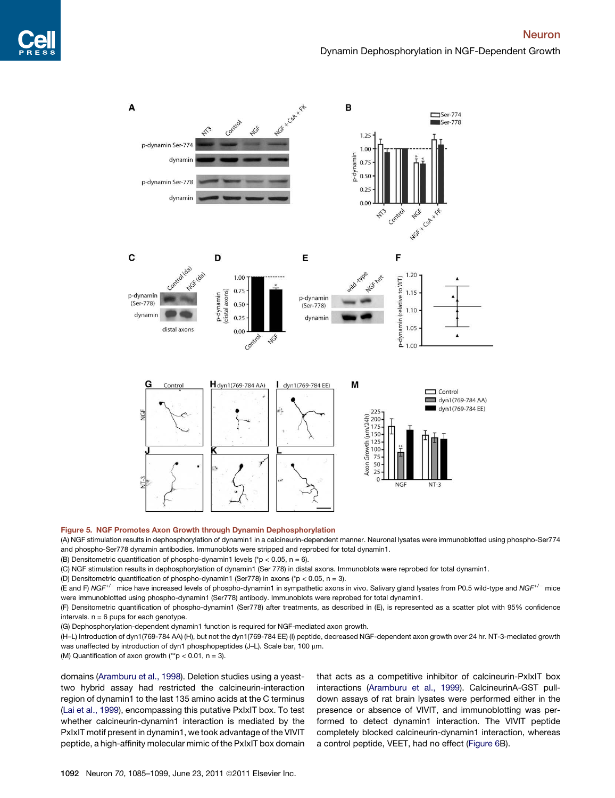<span id="page-7-0"></span>

# Figure 5. NGF Promotes Axon Growth through Dynamin Dephosphorylation

(A) NGF stimulation results in dephosphorylation of dynamin1 in a calcineurin-dependent manner. Neuronal lysates were immunoblotted using phospho-Ser774 and phospho-Ser778 dynamin antibodies. Immunoblots were stripped and reprobed for total dynamin1.

(B) Densitometric quantification of phospho-dynamin1 levels ( $p < 0.05$ , n = 6).

(C) NGF stimulation results in dephosphorylation of dynamin1 (Ser 778) in distal axons. Immunoblots were reprobed for total dynamin1.

(D) Densitometric quantification of phospho-dynamin1 (Ser778) in axons ( $p < 0.05$ , n = 3).

(E and F) *NGF+/* mice have increased levels of phospho-dynamin1 in sympathetic axons in vivo. Salivary gland lysates from P0.5 wild-type and *NGF+/* mice were immunoblotted using phospho-dynamin1 (Ser778) antibody. Immunoblots were reprobed for total dynamin1.

(F) Densitometric quantification of phospho-dynamin1 (Ser778) after treatments, as described in (E), is represented as a scatter plot with 95% confidence  $intervals. n = 6$  pups for each genotype.

(G) Dephosphorylation-dependent dynamin1 function is required for NGF-mediated axon growth.

(H–L) Introduction of dyn1(769-784 AA) (H), but not the dyn1(769-784 EE) (I) peptide, decreased NGF-dependent axon growth over 24 hr. NT-3-mediated growth was unaffected by introduction of dyn1 phosphopeptides (J-L). Scale bar, 100 µm.

(M) Quantification of axon growth (\*\*p < 0.01,  $n = 3$ ).

domains [\(Aramburu et al., 1998](#page-13-0)). Deletion studies using a yeasttwo hybrid assay had restricted the calcineurin-interaction region of dynamin1 to the last 135 amino acids at the C terminus ([Lai et al., 1999\)](#page-13-0), encompassing this putative PxIxIT box. To test whether calcineurin-dynamin1 interaction is mediated by the PxIxIT motif present in dynamin1, we took advantage of the VIVIT peptide, a high-affinity molecular mimic of the PxIxIT box domain

that acts as a competitive inhibitor of calcineurin-PxIxIT box interactions ([Aramburu et al., 1999](#page-13-0)). CalcineurinA-GST pulldown assays of rat brain lysates were performed either in the presence or absence of VIVIT, and immunoblotting was performed to detect dynamin1 interaction. The VIVIT peptide completely blocked calcineurin-dynamin1 interaction, whereas a control peptide, VEET, had no effect ([Figure 6](#page-8-0)B).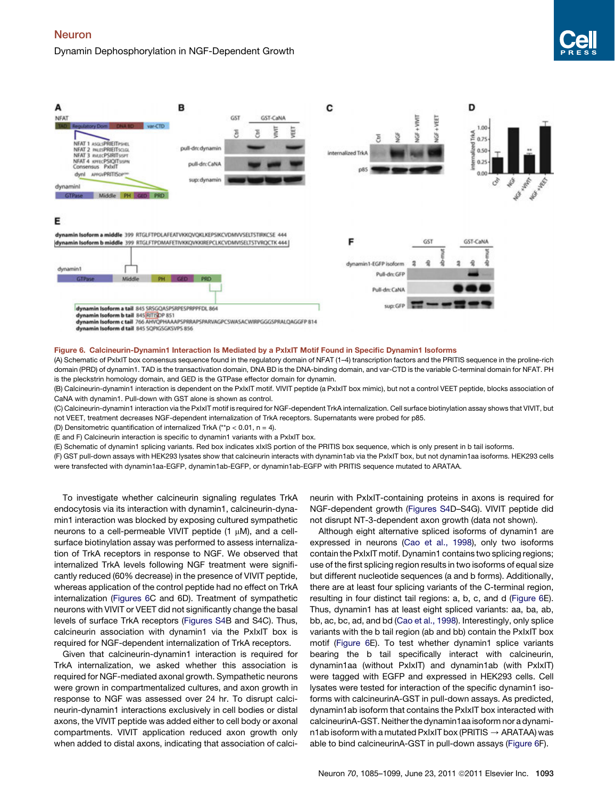# <span id="page-8-0"></span>Neuron

# Dynamin Dephosphorylation in NGF-Dependent Growth



## Figure 6. Calcineurin-Dynamin1 Interaction Is Mediated by a PxIxIT Motif Found in Specific Dynamin1 Isoforms

(A) Schematic of PxIxIT box consensus sequence found in the regulatory domain of NFAT (1–4) transcription factors and the PRITIS sequence in the proline-rich domain (PRD) of dynamin1. TAD is the transactivation domain, DNA BD is the DNA-binding domain, and var-CTD is the variable C-terminal domain for NFAT. PH is the pleckstrin homology domain, and GED is the GTPase effector domain for dynamin.

(B) Calcineurin-dynamin1 interaction is dependent on the PxIxIT motif. VIVIT peptide (a PxIxIT box mimic), but not a control VEET peptide, blocks association of CaNA with dynamin1. Pull-down with GST alone is shown as control.

(C) Calcineurin-dynamin1 interaction via the PxIxIT motif is required for NGF-dependent TrkA internalization. Cell surface biotinylation assay shows that VIVIT, but not VEET, treatment decreases NGF-dependent internalization of TrkA receptors. Supernatants were probed for p85.

(D) Densitometric quantification of internalized TrkA (\*\*p < 0.01, n = 4).

(E and F) Calcineurin interaction is specific to dynamin1 variants with a PxIxIT box.

(E) Schematic of dynamin1 splicing variants. Red box indicates xIxIS portion of the PRITIS box sequence, which is only present in b tail isoforms.

(F) GST pull-down assays with HEK293 lysates show that calcineurin interacts with dynamin1ab via the PxIxIT box, but not dynamin1aa isoforms. HEK293 cells were transfected with dynamin1aa-EGFP, dynamin1ab-EGFP, or dynamin1ab-EGFP with PRITIS sequence mutated to ARATAA.

To investigate whether calcineurin signaling regulates TrkA endocytosis via its interaction with dynamin1, calcineurin-dynamin1 interaction was blocked by exposing cultured sympathetic neurons to a cell-permeable VIVIT peptide (1  $\mu$ M), and a cellsurface biotinylation assay was performed to assess internalization of TrkA receptors in response to NGF. We observed that internalized TrkA levels following NGF treatment were significantly reduced (60% decrease) in the presence of VIVIT peptide, whereas application of the control peptide had no effect on TrkA internalization (Figures 6C and 6D). Treatment of sympathetic neurons with VIVIT or VEET did not significantly change the basal levels of surface TrkA receptors ([Figures S4](#page-13-0)B and S4C). Thus, calcineurin association with dynamin1 via the PxIxIT box is required for NGF-dependent internalization of TrkA receptors.

Given that calcineurin-dynamin1 interaction is required for TrkA internalization, we asked whether this association is required for NGF-mediated axonal growth. Sympathetic neurons were grown in compartmentalized cultures, and axon growth in response to NGF was assessed over 24 hr. To disrupt calcineurin-dynamin1 interactions exclusively in cell bodies or distal axons, the VIVIT peptide was added either to cell body or axonal compartments. VIVIT application reduced axon growth only when added to distal axons, indicating that association of calcineurin with PxIxIT-containing proteins in axons is required for NGF-dependent growth ([Figures S4D](#page-13-0)–S4G). VIVIT peptide did not disrupt NT-3-dependent axon growth (data not shown).

Although eight alternative spliced isoforms of dynamin1 are expressed in neurons ([Cao et al., 1998\)](#page-13-0), only two isoforms contain the PxIxIT motif. Dynamin1 contains two splicing regions; use of the first splicing region results in two isoforms of equal size but different nucleotide sequences (a and b forms). Additionally, there are at least four splicing variants of the C-terminal region, resulting in four distinct tail regions: a, b, c, and d (Figure 6E). Thus, dynamin1 has at least eight spliced variants: aa, ba, ab, bb, ac, bc, ad, and bd [\(Cao et al., 1998](#page-13-0)). Interestingly, only splice variants with the b tail region (ab and bb) contain the PxIxIT box motif (Figure 6E). To test whether dynamin1 splice variants bearing the b tail specifically interact with calcineurin, dynamin1aa (without PxIxIT) and dynamin1ab (with PxIxIT) were tagged with EGFP and expressed in HEK293 cells. Cell lysates were tested for interaction of the specific dynamin1 isoforms with calcineurinA-GST in pull-down assays. As predicted, dynamin1ab isoform that contains the PxIxIT box interacted with calcineurinA-GST. Neither the dynamin1aa isoform nor a dynamin1ab isoform with a mutated PxIxIT box (PRITIS  $\rightarrow$  ARATAA) was able to bind calcineurinA-GST in pull-down assays (Figure 6F).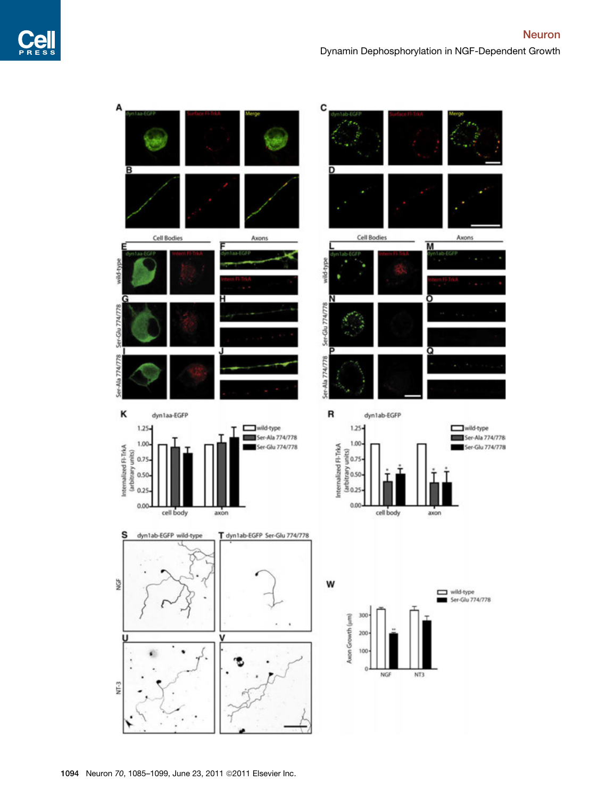<span id="page-9-0"></span>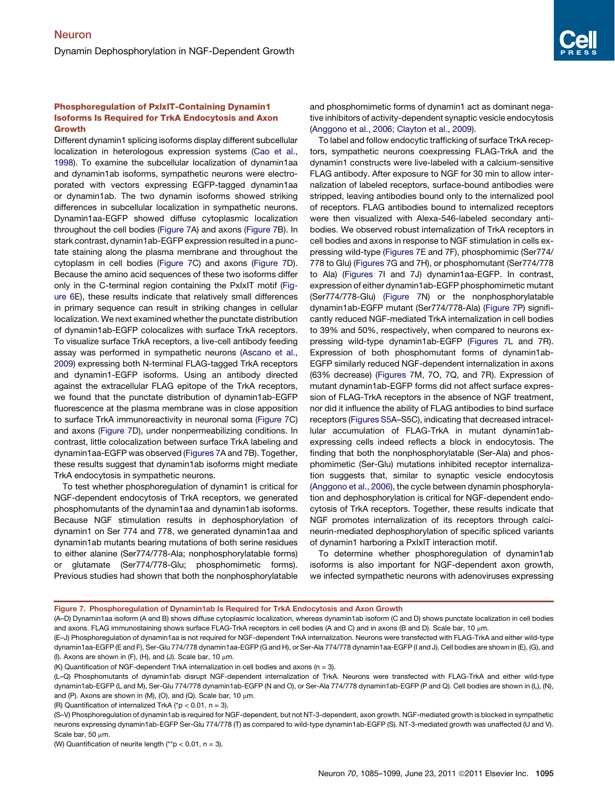## Phosphoregulation of PxIxIT-Containing Dynamin1 Isoforms Is Required for TrkA Endocytosis and Axon Growth

Different dynamin1 splicing isoforms display different subcellular localization in heterologous expression systems [\(Cao et al.,](#page-13-0) [1998\)](#page-13-0). To examine the subcellular localization of dynamin1aa and dynamin1ab isoforms, sympathetic neurons were electroporated with vectors expressing EGFP-tagged dynamin1aa or dynamin1ab. The two dynamin isoforms showed striking differences in subcellular localization in sympathetic neurons. Dynamin1aa-EGFP showed diffuse cytoplasmic localization throughout the cell bodies ([Figure 7A](#page-9-0)) and axons ([Figure 7](#page-9-0)B). In stark contrast, dynamin1ab-EGFP expression resulted in a punctate staining along the plasma membrane and throughout the cytoplasm in cell bodies [\(Figure 7C](#page-9-0)) and axons [\(Figure 7D](#page-9-0)). Because the amino acid sequences of these two isoforms differ only in the C-terminal region containing the PxIxIT motif [\(Fig](#page-8-0)[ure 6](#page-8-0)E), these results indicate that relatively small differences in primary sequence can result in striking changes in cellular localization. We next examined whether the punctate distribution of dynamin1ab-EGFP colocalizes with surface TrkA receptors. To visualize surface TrkA receptors, a live-cell antibody feeding assay was performed in sympathetic neurons ([Ascano et al.,](#page-13-0) [2009\)](#page-13-0) expressing both N-terminal FLAG-tagged TrkA receptors and dynamin1-EGFP isoforms. Using an antibody directed against the extracellular FLAG epitope of the TrkA receptors, we found that the punctate distribution of dynamin1ab-EGFP fluorescence at the plasma membrane was in close apposition to surface TrkA immunoreactivity in neuronal soma ([Figure 7C](#page-9-0)) and axons ([Figure 7D](#page-9-0)), under nonpermeabilizing conditions. In contrast, little colocalization between surface TrkA labeling and dynamin1aa-EGFP was observed [\(Figures 7](#page-9-0)A and 7B). Together, these results suggest that dynamin1ab isoforms might mediate TrkA endocytosis in sympathetic neurons.

To test whether phosphoregulation of dynamin1 is critical for NGF-dependent endocytosis of TrkA receptors, we generated phosphomutants of the dynamin1aa and dynamin1ab isoforms. Because NGF stimulation results in dephosphorylation of dynamin1 on Ser 774 and 778, we generated dynamin1aa and dynamin1ab mutants bearing mutations of both serine residues to either alanine (Ser774/778-Ala; nonphosphorylatable forms) or glutamate (Ser774/778-Glu; phosphomimetic forms). Previous studies had shown that both the nonphosphorylatable and phosphomimetic forms of dynamin1 act as dominant negative inhibitors of activity-dependent synaptic vesicle endocytosis [\(Anggono et al., 2006; Clayton et al., 2009\)](#page-13-0).

To label and follow endocytic trafficking of surface TrkA receptors, sympathetic neurons coexpressing FLAG-TrkA and the dynamin1 constructs were live-labeled with a calcium-sensitive FLAG antibody. After exposure to NGF for 30 min to allow internalization of labeled receptors, surface-bound antibodies were stripped, leaving antibodies bound only to the internalized pool of receptors. FLAG antibodies bound to internalized receptors were then visualized with Alexa-546-labeled secondary antibodies. We observed robust internalization of TrkA receptors in cell bodies and axons in response to NGF stimulation in cells expressing wild-type ([Figures 7E](#page-9-0) and 7F), phosphomimic (Ser774/ 778 to Glu) [\(Figures 7G](#page-9-0) and 7H), or phosphomutant (Ser774/778 to Ala) [\(Figures 7I](#page-9-0) and 7J) dynamin1aa-EGFP. In contrast, expression of either dynamin1ab-EGFP phosphomimetic mutant (Ser774/778-Glu) [\(Figure 7N](#page-9-0)) or the nonphosphorylatable dynamin1ab-EGFP mutant (Ser774/778-Ala) [\(Figure 7P](#page-9-0)) significantly reduced NGF-mediated TrkA internalization in cell bodies to 39% and 50%, respectively, when compared to neurons expressing wild-type dynamin1ab-EGFP ([Figures 7L](#page-9-0) and 7R). Expression of both phosphomutant forms of dynamin1ab-EGFP similarly reduced NGF-dependent internalization in axons (63% decrease) ([Figures 7M](#page-9-0), 7O, 7Q, and 7R). Expression of mutant dynamin1ab-EGFP forms did not affect surface expression of FLAG-TrkA receptors in the absence of NGF treatment, nor did it influence the ability of FLAG antibodies to bind surface receptors [\(Figures S5A](#page-13-0)–S5C), indicating that decreased intracellular accumulation of FLAG-TrkA in mutant dynamin1abexpressing cells indeed reflects a block in endocytosis. The finding that both the nonphosphorylatable (Ser-Ala) and phosphomimetic (Ser-Glu) mutations inhibited receptor internalization suggests that, similar to synaptic vesicle endocytosis [\(Anggono et al., 2006](#page-13-0)), the cycle between dynamin phosphorylation and dephosphorylation is critical for NGF-dependent endocytosis of TrkA receptors. Together, these results indicate that NGF promotes internalization of its receptors through calcineurin-mediated dephosphorylation of specific spliced variants of dynamin1 harboring a PxIxIT interaction motif.

To determine whether phosphoregulation of dynamin1ab isoforms is also important for NGF-dependent axon growth, we infected sympathetic neurons with adenoviruses expressing

Figure 7. Phosphoregulation of Dynamin1ab Is Required for TrkA Endocytosis and Axon Growth

(R) Quantification of internalized TrkA ( $p$  < 0.01, n = 3).

(W) Quantification of neurite length (\*\*p < 0.01,  $n = 3$ ).

<sup>(</sup>A–D) Dynamin1aa isoform (A and B) shows diffuse cytoplasmic localization, whereas dynamin1ab isoform (C and D) shows punctate localization in cell bodies and axons. FLAG immunostaining shows surface FLAG-TrkA receptors in cell bodies (A and C) and in axons (B and D). Scale bar, 10 µm.

<sup>(</sup>E–J) Phosphoregulation of dynamin1aa is not required for NGF-dependent TrkA internalization. Neurons were transfected with FLAG-TrkA and either wild-type dynamin1aa-EGFP (E and F), Ser-Glu 774/778 dynamin1aa-EGFP (G and H), or Ser-Ala 774/778 dynamin1aa-EGFP (I and J). Cell bodies are shown in (E), (G), and (I). Axons are shown in (F), (H), and (J). Scale bar, 10  $\mu$ m.

<sup>(</sup>K) Quantification of NGF-dependent TrkA internalization in cell bodies and axons (n = 3).

<sup>(</sup>L–Q) Phosphomutants of dynamin1ab disrupt NGF-dependent internalization of TrkA. Neurons were transfected with FLAG-TrkA and either wild-type dynamin1ab-EGFP (L and M), Ser-Glu 774/778 dynamin1ab-EGFP (N and O), or Ser-Ala 774/778 dynamin1ab-EGFP (P and Q). Cell bodies are shown in (L), (N), and (P). Axons are shown in (M), (O), and (Q). Scale bar, 10  $\mu$ m.

<sup>(</sup>S–V) Phosphoregulation of dynamin1ab is required for NGF-dependent, but not NT-3-dependent, axon growth. NGF-mediated growth is blocked in sympathetic neurons expressing dynamin1ab-EGFP Ser-Glu 774/778 (T) as compared to wild-type dynamin1ab-EGFP (S). NT-3-mediated growth was unaffected (U and V). Scale bar,  $50 \mu m$ .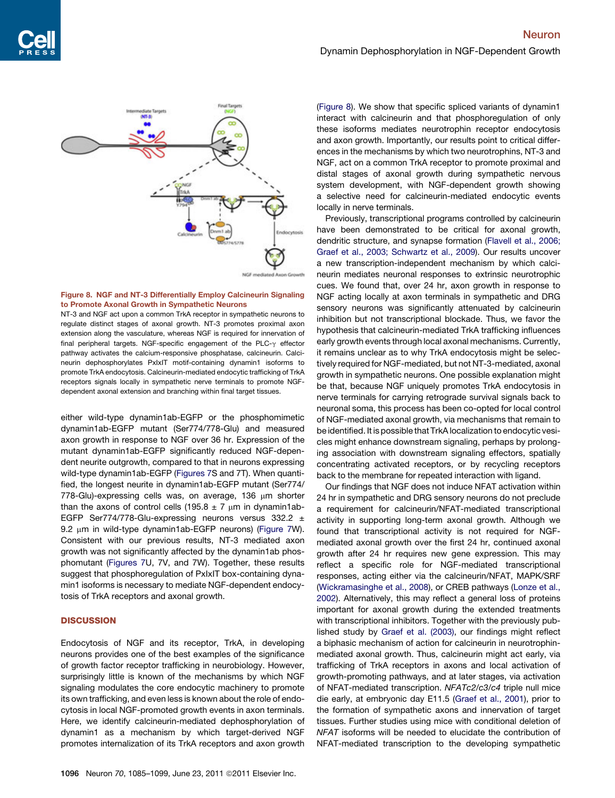

NGF m

## Figure 8. NGF and NT-3 Differentially Employ Calcineurin Signaling to Promote Axonal Growth in Sympathetic Neurons

NT-3 and NGF act upon a common TrkA receptor in sympathetic neurons to regulate distinct stages of axonal growth. NT-3 promotes proximal axon extension along the vasculature, whereas NGF is required for innervation of final peripheral targets. NGF-specific engagement of the PLC- $\gamma$  effector pathway activates the calcium-responsive phosphatase, calcineurin. Calcineurin dephosphorylates PxIxIT motif-containing dynamin1 isoforms to promote TrkA endocytosis. Calcineurin-mediated endocytic trafficking of TrkA receptors signals locally in sympathetic nerve terminals to promote NGFdependent axonal extension and branching within final target tissues.

either wild-type dynamin1ab-EGFP or the phosphomimetic dynamin1ab-EGFP mutant (Ser774/778-Glu) and measured axon growth in response to NGF over 36 hr. Expression of the mutant dynamin1ab-EGFP significantly reduced NGF-dependent neurite outgrowth, compared to that in neurons expressing wild-type dynamin1ab-EGFP [\(Figures 7S](#page-9-0) and 7T). When quantified, the longest neurite in dynamin1ab-EGFP mutant (Ser774/ 778-Glu)-expressing cells was, on average, 136 µm shorter than the axons of control cells (195.8  $\pm$  7  $\mu$ m in dynamin1ab-EGFP Ser774/778-Glu-expressing neurons versus  $332.2 \pm$ 9.2 um in wild-type dynamin1ab-EGFP neurons) [\(Figure 7](#page-9-0)W). Consistent with our previous results, NT-3 mediated axon growth was not significantly affected by the dynamin1ab phosphomutant ([Figures 7U](#page-9-0), 7V, and 7W). Together, these results suggest that phosphoregulation of PxIxIT box-containing dynamin1 isoforms is necessary to mediate NGF-dependent endocytosis of TrkA receptors and axonal growth.

## **DISCUSSION**

Endocytosis of NGF and its receptor, TrkA, in developing neurons provides one of the best examples of the significance of growth factor receptor trafficking in neurobiology. However, surprisingly little is known of the mechanisms by which NGF signaling modulates the core endocytic machinery to promote its own trafficking, and even less is known about the role of endocytosis in local NGF-promoted growth events in axon terminals. Here, we identify calcineurin-mediated dephosphorylation of dynamin1 as a mechanism by which target-derived NGF promotes internalization of its TrkA receptors and axon growth

(Figure 8). We show that specific spliced variants of dynamin1 interact with calcineurin and that phosphoregulation of only these isoforms mediates neurotrophin receptor endocytosis and axon growth. Importantly, our results point to critical differences in the mechanisms by which two neurotrophins, NT-3 and NGF, act on a common TrkA receptor to promote proximal and distal stages of axonal growth during sympathetic nervous system development, with NGF-dependent growth showing a selective need for calcineurin-mediated endocytic events locally in nerve terminals.

Previously, transcriptional programs controlled by calcineurin have been demonstrated to be critical for axonal growth, dendritic structure, and synapse formation [\(Flavell et al., 2006;](#page-13-0) [Graef et al., 2003; Schwartz et al., 2009](#page-13-0)). Our results uncover a new transcription-independent mechanism by which calcineurin mediates neuronal responses to extrinsic neurotrophic cues. We found that, over 24 hr, axon growth in response to NGF acting locally at axon terminals in sympathetic and DRG sensory neurons was significantly attenuated by calcineurin inhibition but not transcriptional blockade. Thus, we favor the hypothesis that calcineurin-mediated TrkA trafficking influences early growth events through local axonal mechanisms. Currently, it remains unclear as to why TrkA endocytosis might be selectively required for NGF-mediated, but not NT-3-mediated, axonal growth in sympathetic neurons. One possible explanation might be that, because NGF uniquely promotes TrkA endocytosis in nerve terminals for carrying retrograde survival signals back to neuronal soma, this process has been co-opted for local control of NGF-mediated axonal growth, via mechanisms that remain to be identified. It is possible that TrkA localization to endocytic vesicles might enhance downstream signaling, perhaps by prolonging association with downstream signaling effectors, spatially concentrating activated receptors, or by recycling receptors back to the membrane for repeated interaction with ligand.

Our findings that NGF does not induce NFAT activation within 24 hr in sympathetic and DRG sensory neurons do not preclude a requirement for calcineurin/NFAT-mediated transcriptional activity in supporting long-term axonal growth. Although we found that transcriptional activity is not required for NGFmediated axonal growth over the first 24 hr, continued axonal growth after 24 hr requires new gene expression. This may reflect a specific role for NGF-mediated transcriptional responses, acting either via the calcineurin/NFAT, MAPK/SRF [\(Wickramasinghe et al., 2008](#page-14-0)), or CREB pathways ([Lonze et al.,](#page-14-0) [2002\)](#page-14-0). Alternatively, this may reflect a general loss of proteins important for axonal growth during the extended treatments with transcriptional inhibitors. Together with the previously published study by [Graef et al. \(2003\),](#page-13-0) our findings might reflect a biphasic mechanism of action for calcineurin in neurotrophinmediated axonal growth. Thus, calcineurin might act early, via trafficking of TrkA receptors in axons and local activation of growth-promoting pathways, and at later stages, via activation of NFAT-mediated transcription. *NFATc2/c3/c4* triple null mice die early, at embryonic day E11.5 ([Graef et al., 2001](#page-13-0)), prior to the formation of sympathetic axons and innervation of target tissues. Further studies using mice with conditional deletion of *NFAT* isoforms will be needed to elucidate the contribution of NFAT-mediated transcription to the developing sympathetic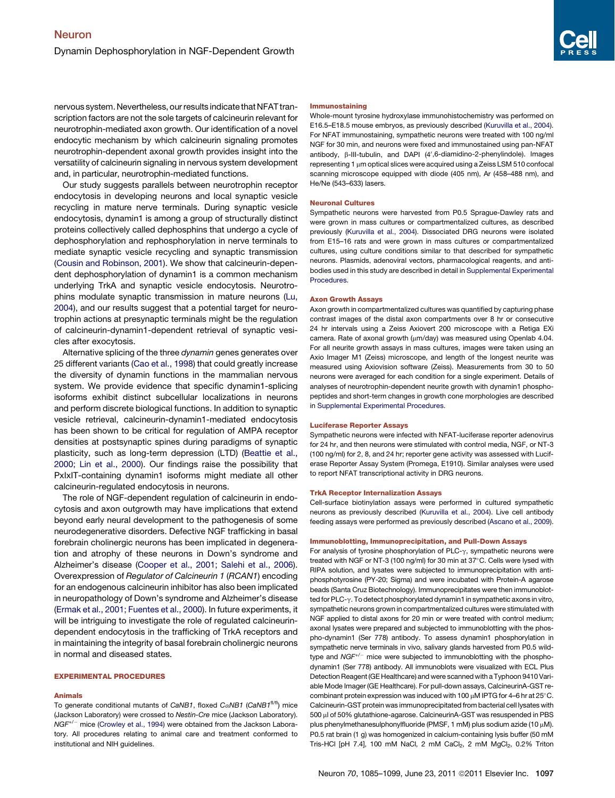nervous system. Nevertheless, our results indicate that NFAT transcription factors are not the sole targets of calcineurin relevant for neurotrophin-mediated axon growth. Our identification of a novel endocytic mechanism by which calcineurin signaling promotes neurotrophin-dependent axonal growth provides insight into the versatility of calcineurin signaling in nervous system development and, in particular, neurotrophin-mediated functions.

Our study suggests parallels between neurotrophin receptor endocytosis in developing neurons and local synaptic vesicle recycling in mature nerve terminals. During synaptic vesicle endocytosis, dynamin1 is among a group of structurally distinct proteins collectively called dephosphins that undergo a cycle of dephosphorylation and rephosphorylation in nerve terminals to mediate synaptic vesicle recycling and synaptic transmission [\(Cousin and Robinson, 2001\)](#page-13-0). We show that calcineurin-dependent dephosphorylation of dynamin1 is a common mechanism underlying TrkA and synaptic vesicle endocytosis. Neurotrophins modulate synaptic transmission in mature neurons [\(Lu,](#page-14-0) [2004\)](#page-14-0), and our results suggest that a potential target for neurotrophin actions at presynaptic terminals might be the regulation of calcineurin-dynamin1-dependent retrieval of synaptic vesicles after exocytosis.

Alternative splicing of the three *dynamin* genes generates over 25 different variants [\(Cao et al., 1998](#page-13-0)) that could greatly increase the diversity of dynamin functions in the mammalian nervous system. We provide evidence that specific dynamin1-splicing isoforms exhibit distinct subcellular localizations in neurons and perform discrete biological functions. In addition to synaptic vesicle retrieval, calcineurin-dynamin1-mediated endocytosis has been shown to be critical for regulation of AMPA receptor densities at postsynaptic spines during paradigms of synaptic plasticity, such as long-term depression (LTD) [\(Beattie et al.,](#page-13-0) [2000; Lin et al., 2000](#page-13-0)). Our findings raise the possibility that PxIxIT-containing dynamin1 isoforms might mediate all other calcineurin-regulated endocytosis in neurons.

The role of NGF-dependent regulation of calcineurin in endocytosis and axon outgrowth may have implications that extend beyond early neural development to the pathogenesis of some neurodegenerative disorders. Defective NGF trafficking in basal forebrain cholinergic neurons has been implicated in degeneration and atrophy of these neurons in Down's syndrome and Alzheimer's disease [\(Cooper et al., 2001; Salehi et al., 2006\)](#page-13-0). Overexpression of *Regulator of Calcineurin 1* (*RCAN1*) encoding for an endogenous calcineurin inhibitor has also been implicated in neuropathology of Down's syndrome and Alzheimer's disease [\(Ermak et al., 2001; Fuentes et al., 2000](#page-13-0)). In future experiments, it will be intriguing to investigate the role of regulated calcineurindependent endocytosis in the trafficking of TrkA receptors and in maintaining the integrity of basal forebrain cholinergic neurons in normal and diseased states.

## EXPERIMENTAL PROCEDURES

#### Animals

To generate conditional mutants of *CaNB1*, floxed *C*a*NB1* (*CaNB1*fl/fl) mice (Jackson Laboratory) were crossed to *Nestin-Cre* mice (Jackson Laboratory). *NGF<sup>+/-</sup>* mice ([Crowley et al., 1994\)](#page-13-0) were obtained from the Jackson Laboratory. All procedures relating to animal care and treatment conformed to institutional and NIH guidelines.

## Immunostaining

Whole-mount tyrosine hydroxylase immunohistochemistry was performed on E16.5–E18.5 mouse embryos, as previously described ([Kuruvilla et al., 2004](#page-13-0)). For NFAT immunostaining, sympathetic neurons were treated with 100 ng/ml NGF for 30 min, and neurons were fixed and immunostained using pan-NFAT antibody, β-III-tubulin, and DAPI (4',6-diamidino-2-phenylindole). Images<br>representing 1 up optical aliese were assuired using a Zeice LSM 510 centeed representing 1 µm optical slices were acquired using a Zeiss LSM 510 confocal scanning microscope equipped with diode (405 nm), Ar (458–488 nm), and He/Ne (543–633) lasers.

#### Neuronal Cultures

Sympathetic neurons were harvested from P0.5 Sprague-Dawley rats and were grown in mass cultures or compartmentalized cultures, as described previously ([Kuruvilla et al., 2004](#page-13-0)). Dissociated DRG neurons were isolated from E15–16 rats and were grown in mass cultures or compartmentalized cultures, using culture conditions similar to that described for sympathetic neurons. Plasmids, adenoviral vectors, pharmacological reagents, and antibodies used in this study are described in detail in [Supplemental Experimental](#page-13-0) [Procedures](#page-13-0).

#### Axon Growth Assays

Axon growth in compartmentalized cultures was quantified by capturing phase contrast images of the distal axon compartments over 8 hr or consecutive 24 hr intervals using a Zeiss Axiovert 200 microscope with a Retiga EXi camera. Rate of axonal growth (um/day) was measured using Openlab 4.04. For all neurite growth assays in mass cultures, images were taken using an Axio Imager M1 (Zeiss) microscope, and length of the longest neurite was measured using Axiovision software (Zeiss). Measurements from 30 to 50 neurons were averaged for each condition for a single experiment. Details of analyses of neurotrophin-dependent neurite growth with dynamin1 phosphopeptides and short-term changes in growth cone morphologies are described in [Supplemental Experimental Procedures](#page-13-0).

#### Luciferase Reporter Assays

Sympathetic neurons were infected with NFAT-luciferase reporter adenovirus for 24 hr, and then neurons were stimulated with control media, NGF, or NT-3 (100 ng/ml) for 2, 8, and 24 hr; reporter gene activity was assessed with Luciferase Reporter Assay System (Promega, E1910). Similar analyses were used to report NFAT transcriptional activity in DRG neurons.

#### TrkA Receptor Internalization Assays

Cell-surface biotinylation assays were performed in cultured sympathetic neurons as previously described [\(Kuruvilla et al., 2004\)](#page-13-0). Live cell antibody feeding assays were performed as previously described [\(Ascano et al., 2009](#page-13-0)).

#### Immunoblotting, Immunoprecipitation, and Pull-Down Assays

For analysis of tyrosine phosphorylation of PLC- $\gamma$ , sympathetic neurons were treated with NGF or NT-3 (100 ng/ml) for 30 min at 37°C. Cells were lysed with RIPA solution, and lysates were subjected to immunoprecipitation with antiphosphotyrosine (PY-20; Sigma) and were incubated with Protein-A agarose beads (Santa Cruz Biotechnology). Immunoprecipitates were then immunoblotted for PLC- $\gamma$ . To detect phosphorylated dynamin1 in sympathetic axons in vitro, sympathetic neurons grown in compartmentalized cultures were stimulated with NGF applied to distal axons for 20 min or were treated with control medium; axonal lysates were prepared and subjected to immunoblotting with the phospho-dynamin1 (Ser 778) antibody. To assess dynamin1 phosphorylation in sympathetic nerve terminals in vivo, salivary glands harvested from P0.5 wildtype and NGF<sup>+/-</sup> mice were subjected to immunoblotting with the phosphodynamin1 (Ser 778) antibody. All immunoblots were visualized with ECL Plus Detection Reagent (GE Healthcare) and were scanned with a Typhoon 9410 Variable Mode Imager (GE Healthcare). For pull-down assays, CalcineurinA-GST recombinant protein expression was induced with 100  $\mu$ M IPTG for 4–6 hr at 25 $^{\circ}$ C. Calcineurin-GST protein was immunoprecipitated from bacterial cell lysates with 500 µl of 50% glutathione-agarose. CalcineurinA-GST was resuspended in PBS plus phenylmethanesulphonylfluoride (PMSF, 1 mM) plus sodium azide (10  $\mu$ M). P0.5 rat brain (1 g) was homogenized in calcium-containing lysis buffer (50 mM Tris-HCl [pH 7.4], 100 mM NaCl, 2 mM CaCl<sub>2</sub>, 2 mM MgCl<sub>2</sub>, 0.2% Triton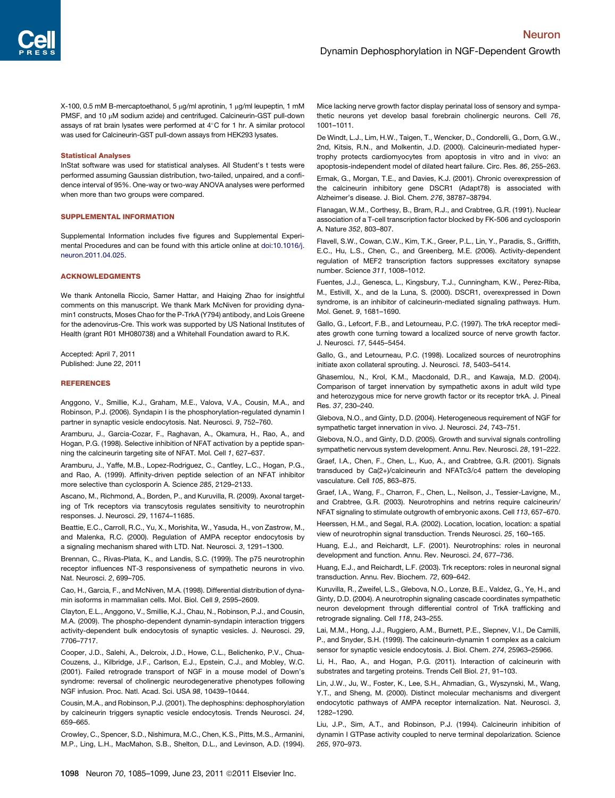<span id="page-13-0"></span>X-100, 0.5 mM B-mercaptoethanol, 5 µg/ml aprotinin, 1 µg/ml leupeptin, 1 mM PMSF, and 10 µM sodium azide) and centrifuged. Calcineurin-GST pull-down assays of rat brain lysates were performed at  $4^{\circ}$ C for 1 hr. A similar protocol was used for Calcineurin-GST pull-down assays from HEK293 lysates.

#### Statistical Analyses

InStat software was used for statistical analyses. All Student's t tests were performed assuming Gaussian distribution, two-tailed, unpaired, and a confidence interval of 95%. One-way or two-way ANOVA analyses were performed when more than two groups were compared.

### SUPPLEMENTAL INFORMATION

Supplemental Information includes five figures and Supplemental Experimental Procedures and can be found with this article online at doi:10.1016/j. neuron.2011.04.025.

## ACKNOWLEDGMENTS

We thank Antonella Riccio, Samer Hattar, and Haiqing Zhao for insightful comments on this manuscript. We thank Mark McNiven for providing dynamin1 constructs, Moses Chao for the P-TrkA (Y794) antibody, and Lois Greene for the adenovirus-Cre. This work was supported by US National Institutes of Health (grant R01 MH080738) and a Whitehall Foundation award to R.K.

Accepted: April 7, 2011 Published: June 22, 2011

## REFERENCES

Anggono, V., Smillie, K.J., Graham, M.E., Valova, V.A., Cousin, M.A., and Robinson, P.J. (2006). Syndapin I is the phosphorylation-regulated dynamin I partner in synaptic vesicle endocytosis. Nat. Neurosci. *9*, 752–760.

Aramburu, J., Garcia-Cozar, F., Raghavan, A., Okamura, H., Rao, A., and Hogan, P.G. (1998). Selective inhibition of NFAT activation by a peptide spanning the calcineurin targeting site of NFAT. Mol. Cell *1*, 627–637.

Aramburu, J., Yaffe, M.B., Lopez-Rodriguez, C., Cantley, L.C., Hogan, P.G., and Rao, A. (1999). Affinity-driven peptide selection of an NFAT inhibitor more selective than cyclosporin A. Science *285*, 2129–2133.

Ascano, M., Richmond, A., Borden, P., and Kuruvilla, R. (2009). Axonal targeting of Trk receptors via transcytosis regulates sensitivity to neurotrophin responses. J. Neurosci. *29*, 11674–11685.

Beattie, E.C., Carroll, R.C., Yu, X., Morishita, W., Yasuda, H., von Zastrow, M., and Malenka, R.C. (2000). Regulation of AMPA receptor endocytosis by a signaling mechanism shared with LTD. Nat. Neurosci. *3*, 1291–1300.

Brennan, C., Rivas-Plata, K., and Landis, S.C. (1999). The p75 neurotrophin receptor influences NT-3 responsiveness of sympathetic neurons in vivo. Nat. Neurosci. *2*, 699–705.

Cao, H., Garcia, F., and McNiven, M.A. (1998). Differential distribution of dynamin isoforms in mammalian cells. Mol. Biol. Cell *9*, 2595–2609.

Clayton, E.L., Anggono, V., Smillie, K.J., Chau, N., Robinson, P.J., and Cousin, M.A. (2009). The phospho-dependent dynamin-syndapin interaction triggers activity-dependent bulk endocytosis of synaptic vesicles. J. Neurosci. *29*, 7706–7717.

Cooper, J.D., Salehi, A., Delcroix, J.D., Howe, C.L., Belichenko, P.V., Chua-Couzens, J., Kilbridge, J.F., Carlson, E.J., Epstein, C.J., and Mobley, W.C. (2001). Failed retrograde transport of NGF in a mouse model of Down's syndrome: reversal of cholinergic neurodegenerative phenotypes following NGF infusion. Proc. Natl. Acad. Sci. USA *98*, 10439–10444.

Cousin, M.A., and Robinson, P.J. (2001). The dephosphins: dephosphorylation by calcineurin triggers synaptic vesicle endocytosis. Trends Neurosci. *24*, 659–665.

Crowley, C., Spencer, S.D., Nishimura, M.C., Chen, K.S., Pitts, M.S., Armanini, M.P., Ling, L.H., MacMahon, S.B., Shelton, D.L., and Levinson, A.D. (1994).

Mice lacking nerve growth factor display perinatal loss of sensory and sympathetic neurons yet develop basal forebrain cholinergic neurons. Cell *76*, 1001–1011.

De Windt, L.J., Lim, H.W., Taigen, T., Wencker, D., Condorelli, G., Dorn, G.W., 2nd, Kitsis, R.N., and Molkentin, J.D. (2000). Calcineurin-mediated hypertrophy protects cardiomyocytes from apoptosis in vitro and in vivo: an apoptosis-independent model of dilated heart failure. Circ. Res. *86*, 255–263.

Ermak, G., Morgan, T.E., and Davies, K.J. (2001). Chronic overexpression of the calcineurin inhibitory gene DSCR1 (Adapt78) is associated with Alzheimer's disease. J. Biol. Chem. *276*, 38787–38794.

Flanagan, W.M., Corthesy, B., Bram, R.J., and Crabtree, G.R. (1991). Nuclear association of a T-cell transcription factor blocked by FK-506 and cyclosporin A. Nature *352*, 803–807.

Flavell, S.W., Cowan, C.W., Kim, T.K., Greer, P.L., Lin, Y., Paradis, S., Griffith, E.C., Hu, L.S., Chen, C., and Greenberg, M.E. (2006). Activity-dependent regulation of MEF2 transcription factors suppresses excitatory synapse number. Science *311*, 1008–1012.

Fuentes, J.J., Genesca, L., Kingsbury, T.J., Cunningham, K.W., Perez-Riba, M., Estivill, X., and de la Luna, S. (2000). DSCR1, overexpressed in Down syndrome, is an inhibitor of calcineurin-mediated signaling pathways. Hum. Mol. Genet. *9*, 1681–1690.

Gallo, G., Lefcort, F.B., and Letourneau, P.C. (1997). The trkA receptor mediates growth cone turning toward a localized source of nerve growth factor. J. Neurosci. *17*, 5445–5454.

Gallo, G., and Letourneau, P.C. (1998). Localized sources of neurotrophins initiate axon collateral sprouting. J. Neurosci. *18*, 5403–5414.

Ghasemlou, N., Krol, K.M., Macdonald, D.R., and Kawaja, M.D. (2004). Comparison of target innervation by sympathetic axons in adult wild type and heterozygous mice for nerve growth factor or its receptor trkA. J. Pineal Res. *37*, 230–240.

Glebova, N.O., and Ginty, D.D. (2004). Heterogeneous requirement of NGF for sympathetic target innervation in vivo. J. Neurosci. *24*, 743–751.

Glebova, N.O., and Ginty, D.D. (2005). Growth and survival signals controlling sympathetic nervous system development. Annu. Rev. Neurosci. *28*, 191–222.

Graef, I.A., Chen, F., Chen, L., Kuo, A., and Crabtree, G.R. (2001). Signals transduced by Ca(2+)/calcineurin and NFATc3/c4 pattern the developing vasculature. Cell *105*, 863–875.

Graef, I.A., Wang, F., Charron, F., Chen, L., Neilson, J., Tessier-Lavigne, M., and Crabtree, G.R. (2003). Neurotrophins and netrins require calcineurin/ NFAT signaling to stimulate outgrowth of embryonic axons. Cell *113*, 657–670.

Heerssen, H.M., and Segal, R.A. (2002). Location, location, location: a spatial view of neurotrophin signal transduction. Trends Neurosci. *25*, 160–165.

Huang, E.J., and Reichardt, L.F. (2001). Neurotrophins: roles in neuronal development and function. Annu. Rev. Neurosci. *24*, 677–736.

Huang, E.J., and Reichardt, L.F. (2003). Trk receptors: roles in neuronal signal transduction. Annu. Rev. Biochem. *72*, 609–642.

Kuruvilla, R., Zweifel, L.S., Glebova, N.O., Lonze, B.E., Valdez, G., Ye, H., and Ginty, D.D. (2004). A neurotrophin signaling cascade coordinates sympathetic neuron development through differential control of TrkA trafficking and retrograde signaling. Cell *118*, 243–255.

Lai, M.M., Hong, J.J., Ruggiero, A.M., Burnett, P.E., Slepnev, V.I., De Camilli, P., and Snyder, S.H. (1999). The calcineurin-dynamin 1 complex as a calcium sensor for synaptic vesicle endocytosis. J. Biol. Chem. *274*, 25963–25966.

Li, H., Rao, A., and Hogan, P.G. (2011). Interaction of calcineurin with substrates and targeting proteins. Trends Cell Biol. *21*, 91–103.

Lin, J.W., Ju, W., Foster, K., Lee, S.H., Ahmadian, G., Wyszynski, M., Wang, Y.T., and Sheng, M. (2000). Distinct molecular mechanisms and divergent endocytotic pathways of AMPA receptor internalization. Nat. Neurosci. *3*, 1282–1290.

Liu, J.P., Sim, A.T., and Robinson, P.J. (1994). Calcineurin inhibition of dynamin I GTPase activity coupled to nerve terminal depolarization. Science *265*, 970–973.